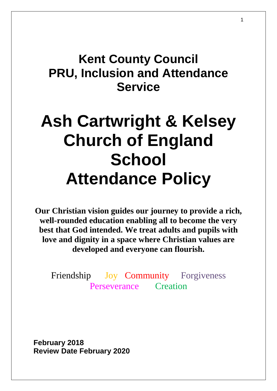## **Kent County Council PRU, Inclusion and Attendance Service**

# **Ash Cartwright & Kelsey Church of England School Attendance Policy**

**Our Christian vision guides our journey to provide a rich, well-rounded education enabling all to become the very best that God intended. We treat adults and pupils with love and dignity in a space where Christian values are developed and everyone can flourish.**

Friendship Joy Community Forgiveness Perseverance Creation

**February 2018 Review Date February 2020**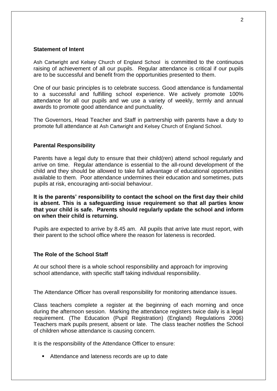#### **Statement of Intent**

Ash Cartwright and Kelsey Church of England School is committed to the continuous raising of achievement of all our pupils. Regular attendance is critical if our pupils are to be successful and benefit from the opportunities presented to them.

One of our basic principles is to celebrate success. Good attendance is fundamental to a successful and fulfilling school experience. We actively promote 100% attendance for all our pupils and we use a variety of weekly, termly and annual awards to promote good attendance and punctuality.

The Governors, Head Teacher and Staff in partnership with parents have a duty to promote full attendance at Ash Cartwright and Kelsey Church of England School.

#### **Parental Responsibility**

Parents have a legal duty to ensure that their child(ren) attend school regularly and arrive on time. Regular attendance is essential to the all-round development of the child and they should be allowed to take full advantage of educational opportunities available to them. Poor attendance undermines their education and sometimes, puts pupils at risk, encouraging anti-social behaviour.

**It is the parents' responsibility to contact the school on the first day their child is absent. This is a safeguarding issue requirement so that all parties know that your child is safe. Parents should regularly update the school and inform on when their child is returning.**

Pupils are expected to arrive by 8.45 am. All pupils that arrive late must report, with their parent to the school office where the reason for lateness is recorded.

#### **The Role of the School Staff**

At our school there is a whole school responsibility and approach for improving school attendance, with specific staff taking individual responsibility.

The Attendance Officer has overall responsibility for monitoring attendance issues.

Class teachers complete a register at the beginning of each morning and once during the afternoon session. Marking the attendance registers twice daily is a legal requirement. (The Education (Pupil Registration) (England) Regulations 2006) Teachers mark pupils present, absent or late. The class teacher notifies the School of children whose attendance is causing concern.

It is the responsibility of the Attendance Officer to ensure:

Attendance and lateness records are up to date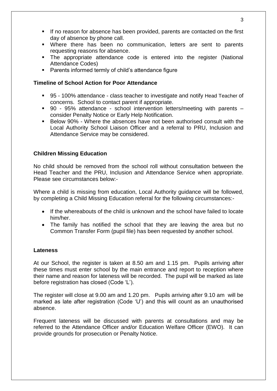- If no reason for absence has been provided, parents are contacted on the first day of absence by phone call.
- Where there has been no communication, letters are sent to parents requesting reasons for absence.
- The appropriate attendance code is entered into the register (National Attendance Codes)
- Parents informed termly of child's attendance figure

#### **Timeline of School Action for Poor Attendance**

- 95 100% attendance class teacher to investigate and notify Head Teacher of concerns. School to contact parent if appropriate.
- 90 95% attendance school intervention letters/meeting with parents consider Penalty Notice or Early Help Notification.
- Below 90% Where the absences have not been authorised consult with the Local Authority School Liaison Officer and a referral to PRU, Inclusion and Attendance Service may be considered.

#### **Children Missing Education**

No child should be removed from the school roll without consultation between the Head Teacher and the PRU, Inclusion and Attendance Service when appropriate. Please see circumstances below:-

Where a child is missing from education, Local Authority guidance will be followed, by completing a Child Missing Education referral for the following circumstances:-

- If the whereabouts of the child is unknown and the school have failed to locate him/her.
- The family has notified the school that they are leaving the area but no Common Transfer Form (pupil file) has been requested by another school.

#### **Lateness**

At our School, the register is taken at 8.50 am and 1.15 pm. Pupils arriving after these times must enter school by the main entrance and report to reception where their name and reason for lateness will be recorded. The pupil will be marked as late before registration has closed (Code 'L').

The register will close at 9.00 am and 1.20 pm. Pupils arriving after 9.10 am will be marked as late after registration (Code 'U') and this will count as an unauthorised absence.

Frequent lateness will be discussed with parents at consultations and may be referred to the Attendance Officer and/or Education Welfare Officer (EWO). It can provide grounds for prosecution or Penalty Notice.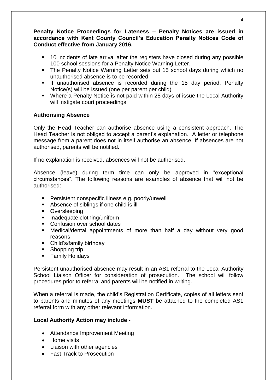#### **Penalty Notice Proceedings for Lateness – Penalty Notices are issued in accordance with Kent County Council's Education Penalty Notices Code of Conduct effective from January 2016.**

- 10 incidents of late arrival after the registers have closed during any possible 100 school sessions for a Penalty Notice Warning Letter.
- The Penalty Notice Warning Letter sets out 15 school days during which no unauthorised absence is to be recorded
- **If unauthorised absence is recorded during the 15 day period, Penalty** Notice(s) will be issued (one per parent per child)
- Where a Penalty Notice is not paid within 28 days of issue the Local Authority will instigate court proceedings

#### **Authorising Absence**

Only the Head Teacher can authorise absence using a consistent approach. The Head Teacher is not obliged to accept a parent's explanation. A letter or telephone message from a parent does not in itself authorise an absence. If absences are not authorised, parents will be notified.

If no explanation is received, absences will not be authorised.

Absence (leave) during term time can only be approved in "exceptional circumstances". The following reasons are examples of absence that will not be authorised:

- **Persistent nonspecific illness e.g. poorly/unwell**
- Absence of siblings if one child is ill
- Oversleeping
- **Inadequate clothing/uniform**
- Confusion over school dates
- Medical/dental appointments of more than half a day without very good reasons
- Child's/family birthday
- Shopping trip
- **Family Holidays**

Persistent unauthorised absence may result in an AS1 referral to the Local Authority School Liaison Officer for consideration of prosecution. The school will follow procedures prior to referral and parents will be notified in writing.

When a referral is made, the child's Registration Certificate, copies of all letters sent to parents and minutes of any meetings **MUST** be attached to the completed AS1 referral form with any other relevant information.

#### **Local Authority Action may include**:-

- Attendance Improvement Meeting
- Home visits
- Liaison with other agencies
- **•** Fast Track to Prosecution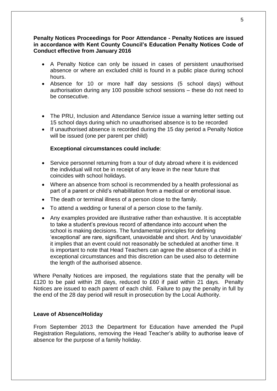#### **Penalty Notices Proceedings for Poor Attendance - Penalty Notices are issued in accordance with Kent County Council's Education Penalty Notices Code of Conduct effective from January 2016**

- A Penalty Notice can only be issued in cases of persistent unauthorised absence or where an excluded child is found in a public place during school hours.
- Absence for 10 or more half day sessions (5 school days) without authorisation during any 100 possible school sessions – these do not need to be consecutive.
- The PRU, Inclusion and Attendance Service issue a warning letter setting out 15 school days during which no unauthorised absence is to be recorded
- If unauthorised absence is recorded during the 15 day period a Penalty Notice will be issued (one per parent per child)

#### **Exceptional circumstances could include**:

- Service personnel returning from a tour of duty abroad where it is evidenced the individual will not be in receipt of any leave in the near future that coincides with school holidays.
- Where an absence from school is recommended by a health professional as part of a parent or child's rehabilitation from a medical or emotional issue.
- The death or terminal illness of a person close to the family.
- To attend a wedding or funeral of a person close to the family.
- Any examples provided are illustrative rather than exhaustive. It is acceptable to take a student's previous record of attendance into account when the school is making decisions. The fundamental principles for defining 'exceptional' are rare, significant, unavoidable and short. And by 'unavoidable' it implies that an event could not reasonably be scheduled at another time. It is important to note that Head Teachers can agree the absence of a child in exceptional circumstances and this discretion can be used also to determine the length of the authorised absence.

Where Penalty Notices are imposed, the regulations state that the penalty will be £120 to be paid within 28 days, reduced to £60 if paid within 21 days. Penalty Notices are issued to each parent of each child. Failure to pay the penalty in full by the end of the 28 day period will result in prosecution by the Local Authority.

#### **Leave of Absence/Holiday**

From September 2013 the Department for Education have amended the Pupil Registration Regulations, removing the Head Teacher's ability to authorise leave of absence for the purpose of a family holiday.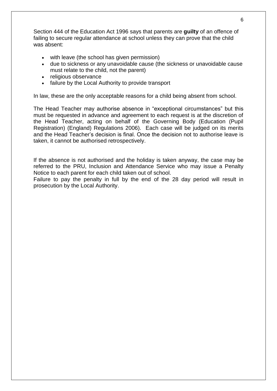Section 444 of the Education Act 1996 says that parents are **guilty** of an offence of failing to secure regular attendance at school unless they can prove that the child was absent:

- with leave (the school has given permission)
- due to sickness or any unavoidable cause (the sickness or unavoidable cause must relate to the child, not the parent)
- religious observance
- failure by the Local Authority to provide transport

In law, these are the only acceptable reasons for a child being absent from school.

The Head Teacher may authorise absence in "exceptional circumstances" but this must be requested in advance and agreement to each request is at the discretion of the Head Teacher, acting on behalf of the Governing Body (Education (Pupil Registration) (England) Regulations 2006). Each case will be judged on its merits and the Head Teacher's decision is final. Once the decision not to authorise leave is taken, it cannot be authorised retrospectively.

If the absence is not authorised and the holiday is taken anyway, the case may be referred to the PRU, Inclusion and Attendance Service who may issue a Penalty Notice to each parent for each child taken out of school.

Failure to pay the penalty in full by the end of the 28 day period will result in prosecution by the Local Authority.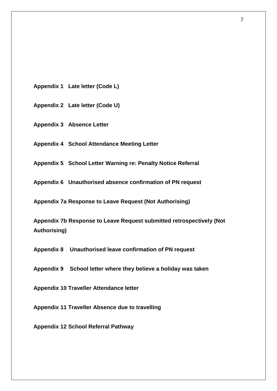- **Appendix 1 Late letter (Code L)**
- **Appendix 2 Late letter (Code U)**
- **Appendix 3 Absence Letter**
- **Appendix 4 School Attendance Meeting Letter**
- **Appendix 5 School Letter Warning re: Penalty Notice Referral**
- **Appendix 6 Unauthorised absence confirmation of PN request**

**Appendix 7a Response to Leave Request (Not Authorising)** 

**Appendix 7b Response to Leave Request submitted retrospectively (Not Authorising)**

**Appendix 8 Unauthorised leave confirmation of PN request**

**Appendix 9 School letter where they believe a holiday was taken**

**Appendix 10 Traveller Attendance letter**

**Appendix 11 Traveller Absence due to travelling**

**Appendix 12 School Referral Pathway**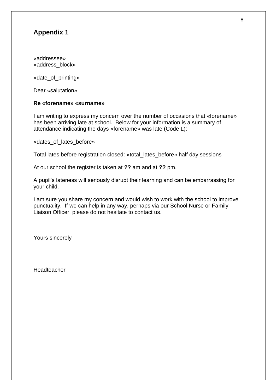«addressee» «address\_block»

«date\_of\_printing»

Dear «salutation»

#### **Re «forename» «surname»**

I am writing to express my concern over the number of occasions that «forename» has been arriving late at school. Below for your information is a summary of attendance indicating the days «forename» was late (Code L):

«dates\_of\_lates\_before»

Total lates before registration closed: «total\_lates\_before» half day sessions

At our school the register is taken at **??** am and at **??** pm.

A pupil's lateness will seriously disrupt their learning and can be embarrassing for your child.

I am sure you share my concern and would wish to work with the school to improve punctuality. If we can help in any way, perhaps via our School Nurse or Family Liaison Officer, please do not hesitate to contact us.

Yours sincerely

**Headteacher**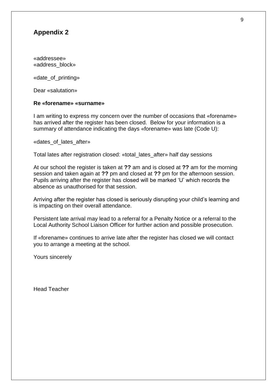«addressee» «address\_block»

«date\_of\_printing»

Dear «salutation»

#### **Re «forename» «surname»**

I am writing to express my concern over the number of occasions that «forename» has arrived after the register has been closed. Below for your information is a summary of attendance indicating the days «forename» was late (Code U):

«dates of lates after»

Total lates after registration closed: «total\_lates\_after» half day sessions

At our school the register is taken at **??** am and is closed at **??** am for the morning session and taken again at **??** pm and closed at **??** pm for the afternoon session. Pupils arriving after the register has closed will be marked 'U' which records the absence as unauthorised for that session.

Arriving after the register has closed is seriously disrupting your child's learning and is impacting on their overall attendance.

Persistent late arrival may lead to a referral for a Penalty Notice or a referral to the Local Authority School Liaison Officer for further action and possible prosecution.

If «forename» continues to arrive late after the register has closed we will contact you to arrange a meeting at the school.

Yours sincerely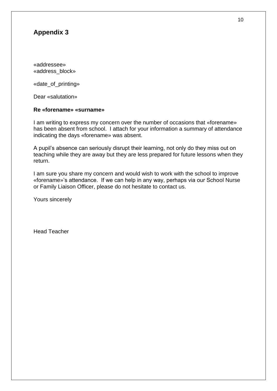«addressee» «address\_block»

«date\_of\_printing»

Dear «salutation»

#### **Re «forename» «surname»**

I am writing to express my concern over the number of occasions that «forename» has been absent from school. I attach for your information a summary of attendance indicating the days «forename» was absent.

A pupil's absence can seriously disrupt their learning, not only do they miss out on teaching while they are away but they are less prepared for future lessons when they return.

I am sure you share my concern and would wish to work with the school to improve «forename»'s attendance. If we can help in any way, perhaps via our School Nurse or Family Liaison Officer, please do not hesitate to contact us.

Yours sincerely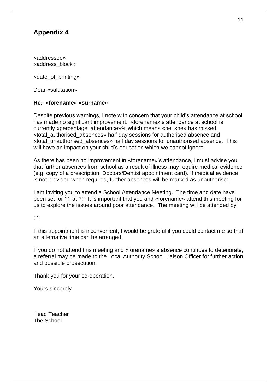«addressee» «address\_block»

«date\_of\_printing»

Dear «salutation»

#### **Re: «forename» «surname»**

Despite previous warnings, I note with concern that your child's attendance at school has made no significant improvement. «forename»'s attendance at school is currently «percentage\_attendance»% which means «he\_she» has missed «total\_authorised\_absences» half day sessions for authorised absence and «total\_unauthorised\_absences» half day sessions for unauthorised absence. This will have an impact on your child's education which we cannot ignore.

As there has been no improvement in «forename»'s attendance, I must advise you that further absences from school as a result of illness may require medical evidence (e.g. copy of a prescription, Doctors/Dentist appointment card). If medical evidence is not provided when required, further absences will be marked as unauthorised.

I am inviting you to attend a School Attendance Meeting. The time and date have been set for ?? at ?? It is important that you and «forename» attend this meeting for us to explore the issues around poor attendance. The meeting will be attended by:

??

If this appointment is inconvenient, I would be grateful if you could contact me so that an alternative time can be arranged.

If you do not attend this meeting and «forename»'s absence continues to deteriorate, a referral may be made to the Local Authority School Liaison Officer for further action and possible prosecution.

Thank you for your co-operation.

Yours sincerely

Head Teacher The School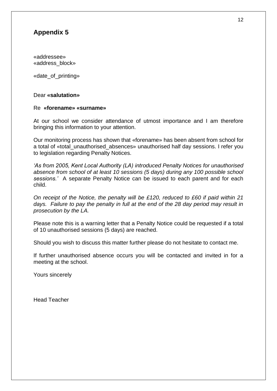«addressee» «address\_block»

«date\_of\_printing»

#### Dear **«salutation»**

#### Re **«forename» «surname»**

At our school we consider attendance of utmost importance and I am therefore bringing this information to your attention.

Our monitoring process has shown that «forename» has been absent from school for a total of «total unauthorised absences» unauthorised half day sessions. I refer you to legislation regarding Penalty Notices.

*'As from 2005, Kent Local Authority (LA) introduced Penalty Notices for unauthorised absence from school of at least 10 sessions (5 days) during any 100 possible school sessions.'* A separate Penalty Notice can be issued to each parent and for each child.

*On receipt of the Notice, the penalty will be £120, reduced to £60 if paid within 21 days. Failure to pay the penalty in full at the end of the 28 day period may result in prosecution by the LA.*

Please note this is a warning letter that a Penalty Notice could be requested if a total of 10 unauthorised sessions (5 days) are reached.

Should you wish to discuss this matter further please do not hesitate to contact me.

If further unauthorised absence occurs you will be contacted and invited in for a meeting at the school.

Yours sincerely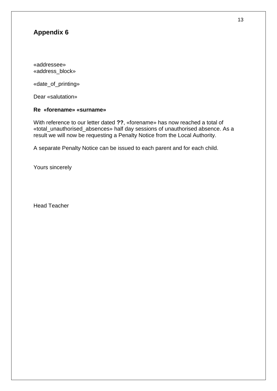«addressee» «address\_block»

«date\_of\_printing»

Dear «salutation»

#### **Re «forename» «surname»**

With reference to our letter dated **??**, «forename» has now reached a total of «total\_unauthorised\_absences» half day sessions of unauthorised absence. As a result we will now be requesting a Penalty Notice from the Local Authority.

A separate Penalty Notice can be issued to each parent and for each child.

Yours sincerely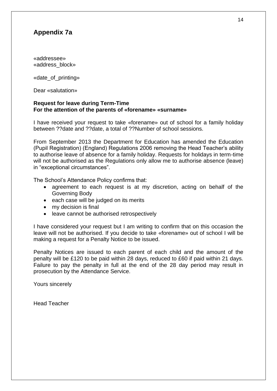## **Appendix 7a**

«addressee» «address\_block»

«date\_of\_printing»

Dear «salutation»

#### **Request for leave during Term-Time For the attention of the parents of «forename» «surname»**

I have received your request to take «forename» out of school for a family holiday between ??date and ??date, a total of ??Number of school sessions.

From September 2013 the Department for Education has amended the Education (Pupil Registration) (England) Regulations 2006 removing the Head Teacher's ability to authorise leave of absence for a family holiday. Requests for holidays in term-time will not be authorised as the Regulations only allow me to authorise absence (leave) in "exceptional circumstances".

The School's Attendance Policy confirms that:

- agreement to each request is at my discretion, acting on behalf of the Governing Body
- each case will be judged on its merits
- my decision is final
- leave cannot be authorised retrospectively

I have considered your request but I am writing to confirm that on this occasion the leave will not be authorised. If you decide to take «forename» out of school I will be making a request for a Penalty Notice to be issued.

Penalty Notices are issued to each parent of each child and the amount of the penalty will be £120 to be paid within 28 days, reduced to £60 if paid within 21 days. Failure to pay the penalty in full at the end of the 28 day period may result in prosecution by the Attendance Service.

Yours sincerely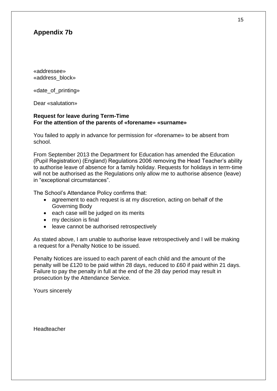## **Appendix 7b**

«addressee» «address\_block»

«date\_of\_printing»

Dear «salutation»

#### **Request for leave during Term-Time For the attention of the parents of «forename» «surname»**

You failed to apply in advance for permission for «forename» to be absent from school.

From September 2013 the Department for Education has amended the Education (Pupil Registration) (England) Regulations 2006 removing the Head Teacher's ability to authorise leave of absence for a family holiday. Requests for holidays in term-time will not be authorised as the Regulations only allow me to authorise absence (leave) in "exceptional circumstances".

The School's Attendance Policy confirms that:

- agreement to each request is at my discretion, acting on behalf of the Governing Body
- each case will be judged on its merits
- my decision is final
- leave cannot be authorised retrospectively

As stated above, I am unable to authorise leave retrospectively and I will be making a request for a Penalty Notice to be issued.

Penalty Notices are issued to each parent of each child and the amount of the penalty will be £120 to be paid within 28 days, reduced to £60 if paid within 21 days. Failure to pay the penalty in full at the end of the 28 day period may result in prosecution by the Attendance Service.

Yours sincerely

Headteacher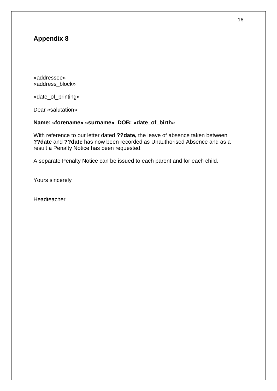«addressee» «address\_block»

«date\_of\_printing»

Dear «salutation»

#### **Name: «forename» «surname» DOB: «date\_of\_birth»**

With reference to our letter dated **??date,** the leave of absence taken between **??date** and **??date** has now been recorded as Unauthorised Absence and as a result a Penalty Notice has been requested.

A separate Penalty Notice can be issued to each parent and for each child.

Yours sincerely

Headteacher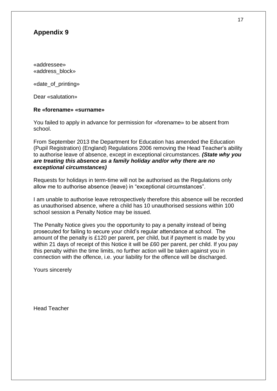«addressee» «address\_block»

«date\_of\_printing»

Dear «salutation»

#### **Re «forename» «surname»**

You failed to apply in advance for permission for «forename» to be absent from school.

From September 2013 the Department for Education has amended the Education (Pupil Registration) (England) Regulations 2006 removing the Head Teacher's ability to authorise leave of absence, except in exceptional circumstances. *(State why you are treating this absence as a family holiday and/or why there are no exceptional circumstances)*

Requests for holidays in term-time will not be authorised as the Regulations only allow me to authorise absence (leave) in "exceptional circumstances".

I am unable to authorise leave retrospectively therefore this absence will be recorded as unauthorised absence, where a child has 10 unauthorised sessions within 100 school session a Penalty Notice may be issued.

The Penalty Notice gives you the opportunity to pay a penalty instead of being prosecuted for failing to secure your child's regular attendance at school. The amount of the penalty is £120 per parent, per child, but if payment is made by you within 21 days of receipt of this Notice it will be £60 per parent, per child. If you pay this penalty within the time limits, no further action will be taken against you in connection with the offence, i.e. your liability for the offence will be discharged.

Yours sincerely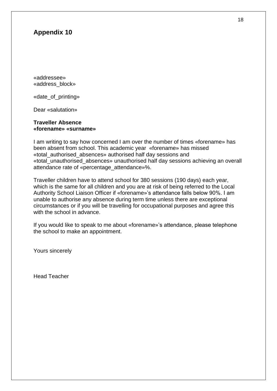«addressee» «address\_block»

«date\_of\_printing»

Dear «salutation»

#### **Traveller Absence «forename» «surname»**

I am writing to say how concerned I am over the number of times «forename» has been absent from school. This academic year «forename» has missed «total\_authorised\_absences» authorised half day sessions and «total\_unauthorised\_absences» unauthorised half day sessions achieving an overall attendance rate of «percentage\_attendance»%.

Traveller children have to attend school for 380 sessions (190 days) each year, which is the same for all children and you are at risk of being referred to the Local Authority School Liaison Officer if «forename»'s attendance falls below 90%. I am unable to authorise any absence during term time unless there are exceptional circumstances or if you will be travelling for occupational purposes and agree this with the school in advance.

If you would like to speak to me about «forename»'s attendance, please telephone the school to make an appointment.

Yours sincerely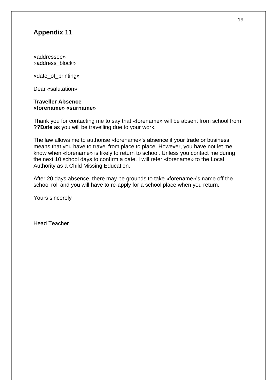«addressee» «address\_block»

«date\_of\_printing»

Dear «salutation»

#### **Traveller Absence «forename» «surname»**

Thank you for contacting me to say that «forename» will be absent from school from **??Date** as you will be travelling due to your work.

The law allows me to authorise «forename»'s absence if your trade or business means that you have to travel from place to place. However, you have not let me know when «forename» is likely to return to school. Unless you contact me during the next 10 school days to confirm a date, I will refer «forename» to the Local Authority as a Child Missing Education.

After 20 days absence, there may be grounds to take «forename»'s name off the school roll and you will have to re-apply for a school place when you return.

Yours sincerely